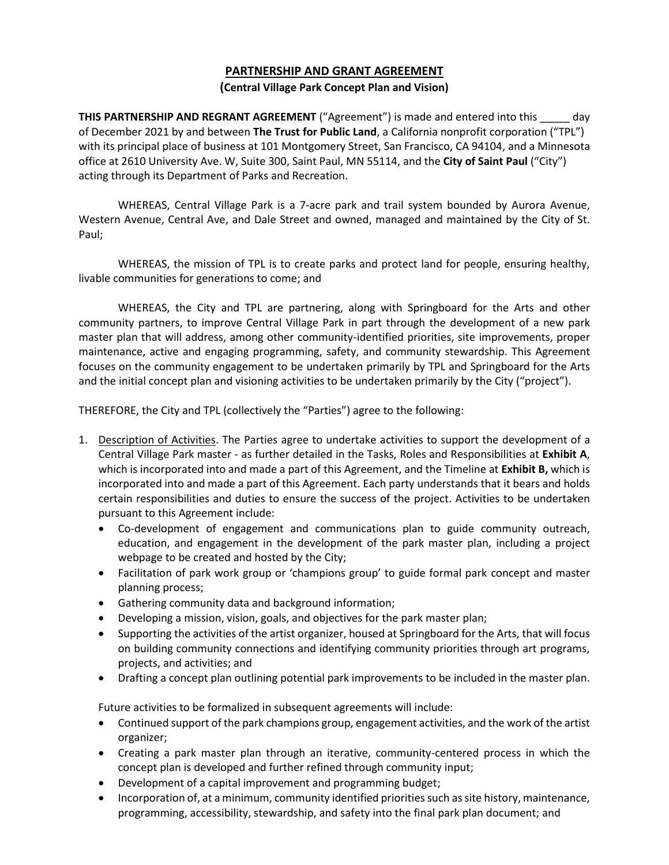# **PARTNERSHIP AND GRANT AGREEMENT**

#### **(Central Village Park Concept Plan and Vision)**

**THIS PARTNERSHIP AND REGRANT AGREEMENT** ("Agreement") is made and entered into this day of December 2021 by and between **The Trust for Public Land**, a California nonprofit corporation ("TPL") with its principal place of business at 101 Montgomery Street, San Francisco, CA 94104, and a Minnesota office at 2610 University Ave. W, Suite 300, Saint Paul, MN 55114, and the **City of Saint Paul** ("City") acting through its Department of Parks and Recreation.

WHEREAS, Central Village Park is a 7-acre park and trail system bounded by Aurora Avenue, Western Avenue, Central Ave, and Dale Street and owned, managed and maintained by the City of St. Paul;

WHEREAS, the mission of TPL is to create parks and protect land for people, ensuring healthy, livable communities for generations to come; and

WHEREAS, the City and TPL are partnering, along with Springboard for the Arts and other community partners, to improve Central Village Park in part through the development of a new park master plan that will address, among other community-identified priorities, site improvements, proper maintenance, active and engaging programming, safety, and community stewardship. This Agreement focuses on the community engagement to be undertaken primarily by TPL and Springboard for the Arts and the initial concept plan and visioning activities to be undertaken primarily by the City ("project").

THEREFORE, the City and TPL (collectively the "Parties") agree to the following:

- 1. Description of Activities. The Parties agree to undertake activities to support the development of a Central Village Park master - as further detailed in the Tasks, Roles and Responsibilities at **Exhibit A**, which is incorporated into and made a part of this Agreement, and the Timeline at **Exhibit B,** which is incorporated into and made a part of this Agreement. Each party understands that it bears and holds certain responsibilities and duties to ensure the success of the project. Activities to be undertaken pursuant to this Agreement include:
	- Co-development of engagement and communications plan to guide community outreach, education, and engagement in the development of the park master plan, including a project webpage to be created and hosted by the City;
	- Facilitation of park work group or 'champions group' to guide formal park concept and master planning process;
	- Gathering community data and background information;
	- Developing a mission, vision, goals, and objectives for the park master plan;
	- Supporting the activities of the artist organizer, housed at Springboard for the Arts, that will focus on building community connections and identifying community priorities through art programs, projects, and activities; and
	- Drafting a concept plan outlining potential park improvements to be included in the master plan.

Future activities to be formalized in subsequent agreements will include:

- Continued support of the park champions group, engagement activities, and the work of the artist organizer;
- Creating a park master plan through an iterative, community-centered process in which the concept plan is developed and further refined through community input;
- Development of a capital improvement and programming budget;
- Incorporation of, at a minimum, community identified priorities such as site history, maintenance, programming, accessibility, stewardship, and safety into the final park plan document; and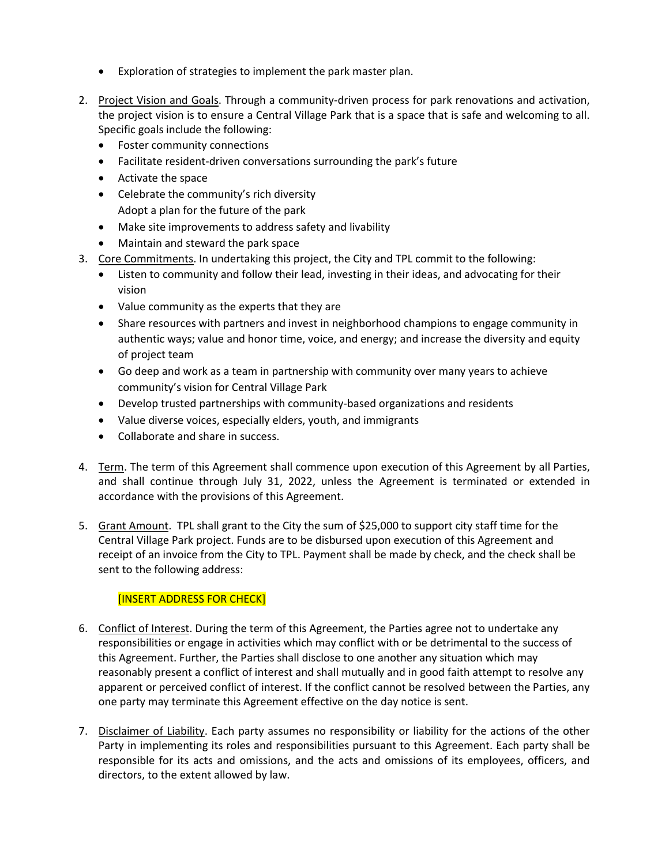- Exploration of strategies to implement the park master plan.
- 2. Project Vision and Goals. Through a community-driven process for park renovations and activation, the project vision is to ensure a Central Village Park that is a space that is safe and welcoming to all. Specific goals include the following:
	- Foster community connections
	- Facilitate resident-driven conversations surrounding the park's future
	- Activate the space
	- Celebrate the community's rich diversity Adopt a plan for the future of the park
	- Make site improvements to address safety and livability
	- Maintain and steward the park space
- 3. Core Commitments. In undertaking this project, the City and TPL commit to the following:
	- Listen to community and follow their lead, investing in their ideas, and advocating for their vision
	- Value community as the experts that they are
	- Share resources with partners and invest in neighborhood champions to engage community in authentic ways; value and honor time, voice, and energy; and increase the diversity and equity of project team
	- Go deep and work as a team in partnership with community over many years to achieve community's vision for Central Village Park
	- Develop trusted partnerships with community-based organizations and residents
	- Value diverse voices, especially elders, youth, and immigrants
	- Collaborate and share in success.
- 4. Term. The term of this Agreement shall commence upon execution of this Agreement by all Parties, and shall continue through July 31, 2022, unless the Agreement is terminated or extended in accordance with the provisions of this Agreement.
- 5. Grant Amount. TPL shall grant to the City the sum of \$25,000 to support city staff time for the Central Village Park project. Funds are to be disbursed upon execution of this Agreement and receipt of an invoice from the City to TPL. Payment shall be made by check, and the check shall be sent to the following address:

## [INSERT ADDRESS FOR CHECK]

- 6. Conflict of Interest. During the term of this Agreement, the Parties agree not to undertake any responsibilities or engage in activities which may conflict with or be detrimental to the success of this Agreement. Further, the Parties shall disclose to one another any situation which may reasonably present a conflict of interest and shall mutually and in good faith attempt to resolve any apparent or perceived conflict of interest. If the conflict cannot be resolved between the Parties, any one party may terminate this Agreement effective on the day notice is sent.
- 7. Disclaimer of Liability. Each party assumes no responsibility or liability for the actions of the other Party in implementing its roles and responsibilities pursuant to this Agreement. Each party shall be responsible for its acts and omissions, and the acts and omissions of its employees, officers, and directors, to the extent allowed by law.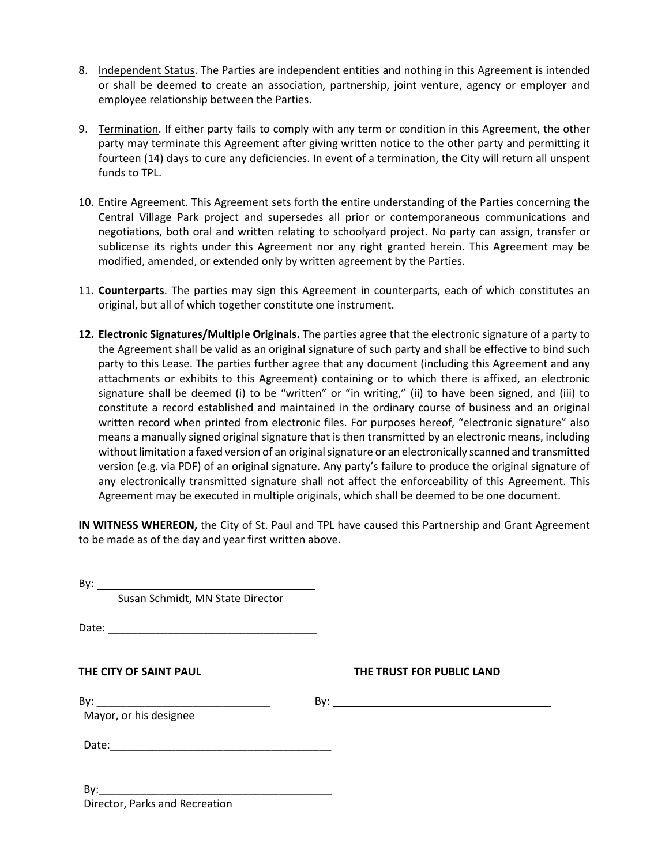- 8. Independent Status. The Parties are independent entities and nothing in this Agreement is intended or shall be deemed to create an association, partnership, joint venture, agency or employer and employee relationship between the Parties.
- 9. Termination. If either party fails to comply with any term or condition in this Agreement, the other party may terminate this Agreement after giving written notice to the other party and permitting it fourteen (14) days to cure any deficiencies. In event of a termination, the City will return all unspent funds to TPL.
- 10. Entire Agreement. This Agreement sets forth the entire understanding of the Parties concerning the Central Village Park project and supersedes all prior or contemporaneous communications and negotiations, both oral and written relating to schoolyard project. No party can assign, transfer or sublicense its rights under this Agreement nor any right granted herein. This Agreement may be modified, amended, or extended only by written agreement by the Parties.
- 11. **Counterparts**. The parties may sign this Agreement in counterparts, each of which constitutes an original, but all of which together constitute one instrument.
- **12. Electronic Signatures/Multiple Originals.** The parties agree that the electronic signature of a party to the Agreement shall be valid as an original signature of such party and shall be effective to bind such party to this Lease. The parties further agree that any document (including this Agreement and any attachments or exhibits to this Agreement) containing or to which there is affixed, an electronic signature shall be deemed (i) to be "written" or "in writing," (ii) to have been signed, and (iii) to constitute a record established and maintained in the ordinary course of business and an original written record when printed from electronic files. For purposes hereof, "electronic signature" also means a manually signed original signature that is then transmitted by an electronic means, including without limitation a faxed version of an original signature or an electronically scanned and transmitted version (e.g. via PDF) of an original signature. Any party's failure to produce the original signature of any electronically transmitted signature shall not affect the enforceability of this Agreement. This Agreement may be executed in multiple originals, which shall be deemed to be one document.

**IN WITNESS WHEREON,** the City of St. Paul and TPL have caused this Partnership and Grant Agreement to be made as of the day and year first written above.

| Susan Schmidt, MN State Director |                             |
|----------------------------------|-----------------------------|
|                                  |                             |
| THE CITY OF SAINT PAUL           | THE TRUST FOR PUBLIC LAND   |
| Mayor, or his designee           | $\mathsf{By:}\_\_\_\_\_\_\$ |
|                                  |                             |
| Director, Parks and Recreation   |                             |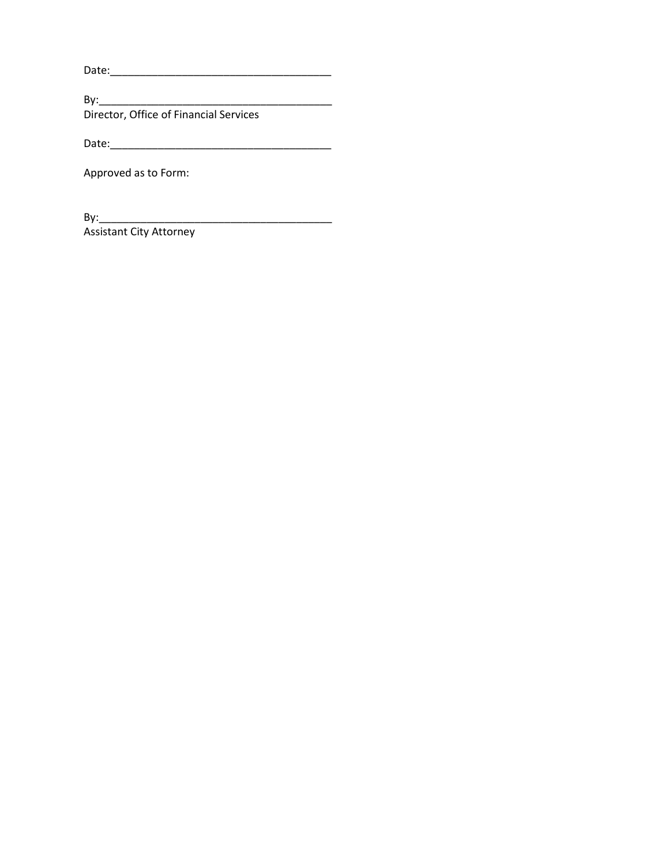Date:\_\_\_\_\_\_\_\_\_\_\_\_\_\_\_\_\_\_\_\_\_\_\_\_\_\_\_\_\_\_\_\_\_\_\_\_\_

By:\_\_\_\_\_\_\_\_\_\_\_\_\_\_\_\_\_\_\_\_\_\_\_\_\_\_\_\_\_\_\_\_\_\_\_\_\_\_\_ Director, Office of Financial Services

Date:\_\_\_\_\_\_\_\_\_\_\_\_\_\_\_\_\_\_\_\_\_\_\_\_\_\_\_\_\_\_\_\_\_\_\_\_\_

Approved as to Form:

By:\_\_\_\_\_\_\_\_\_\_\_\_\_\_\_\_\_\_\_\_\_\_\_\_\_\_\_\_\_\_\_\_\_\_\_\_\_\_\_ Assistant City Attorney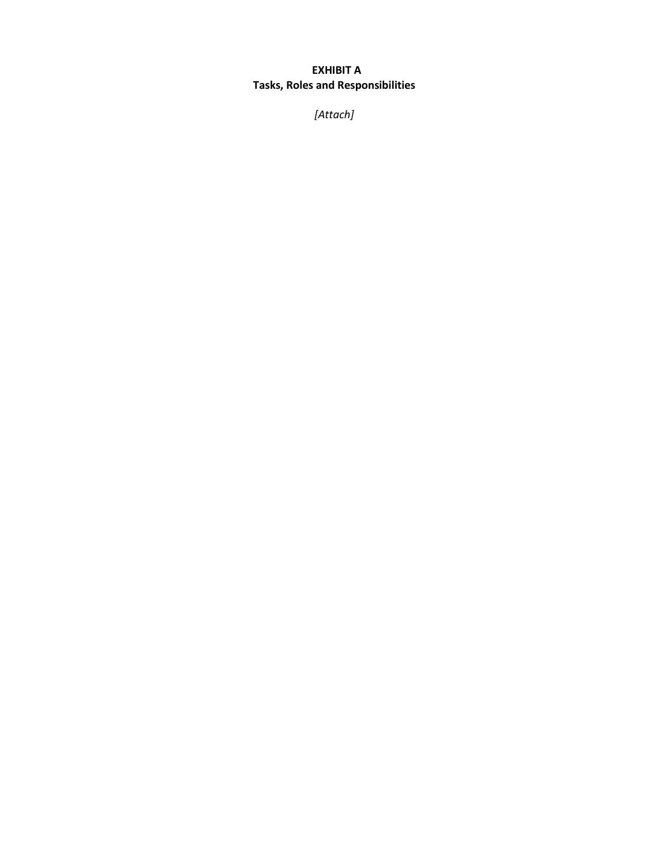## **EXHIBIT A Tasks, Roles and Responsibilities**

*[Attach]*